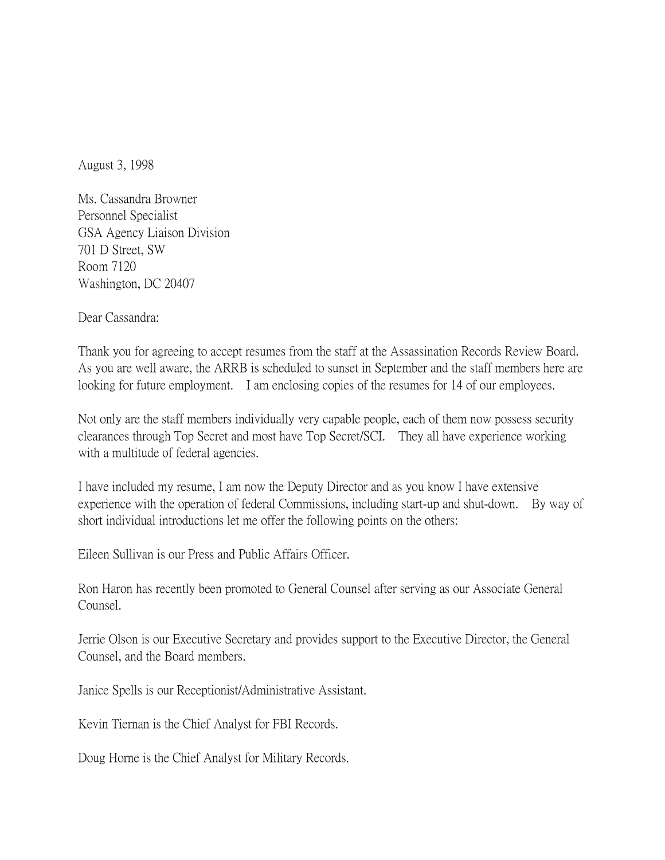August 3, 1998

Ms. Cassandra Browner Personnel Specialist GSA Agency Liaison Division 701 D Street, SW Room 7120 Washington, DC 20407

Dear Cassandra:

Thank you for agreeing to accept resumes from the staff at the Assassination Records Review Board. As you are well aware, the ARRB is scheduled to sunset in September and the staff members here are looking for future employment. I am enclosing copies of the resumes for 14 of our employees.

Not only are the staff members individually very capable people, each of them now possess security clearances through Top Secret and most have Top Secret/SCI. They all have experience working with a multitude of federal agencies.

I have included my resume, I am now the Deputy Director and as you know I have extensive experience with the operation of federal Commissions, including start-up and shut-down. By way of short individual introductions let me offer the following points on the others:

Eileen Sullivan is our Press and Public Affairs Officer.

Ron Haron has recently been promoted to General Counsel after serving as our Associate General Counsel.

Jerrie Olson is our Executive Secretary and provides support to the Executive Director, the General Counsel, and the Board members.

Janice Spells is our Receptionist/Administrative Assistant.

Kevin Tiernan is the Chief Analyst for FBI Records.

Doug Horne is the Chief Analyst for Military Records.